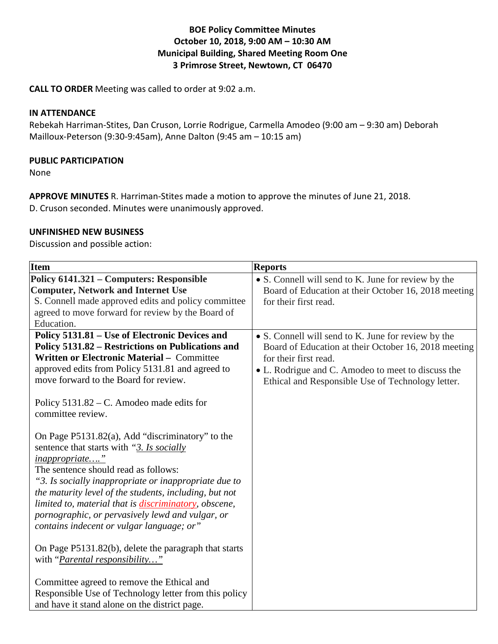## **BOE Policy Committee Minutes October 10, 2018, 9:00 AM – 10:30 AM Municipal Building, Shared Meeting Room One 3 Primrose Street, Newtown, CT 06470**

**CALL TO ORDER** Meeting was called to order at 9:02 a.m.

#### **IN ATTENDANCE**

Rebekah Harriman-Stites, Dan Cruson, Lorrie Rodrigue, Carmella Amodeo (9:00 am – 9:30 am) Deborah Mailloux-Peterson (9:30-9:45am), Anne Dalton (9:45 am – 10:15 am)

#### **PUBLIC PARTICIPATION**

None

**APPROVE MINUTES** R. Harriman-Stites made a motion to approve the minutes of June 21, 2018. D. Cruson seconded. Minutes were unanimously approved.

#### **UNFINISHED NEW BUSINESS**

Discussion and possible action:

| <b>Item</b>                                                                                                                                                                                                                                                                                                                                                                                                                                          | <b>Reports</b>                                                                                                                                                                                                                                  |
|------------------------------------------------------------------------------------------------------------------------------------------------------------------------------------------------------------------------------------------------------------------------------------------------------------------------------------------------------------------------------------------------------------------------------------------------------|-------------------------------------------------------------------------------------------------------------------------------------------------------------------------------------------------------------------------------------------------|
| Policy 6141.321 - Computers: Responsible<br><b>Computer, Network and Internet Use</b><br>S. Connell made approved edits and policy committee<br>agreed to move forward for review by the Board of<br>Education.                                                                                                                                                                                                                                      | • S. Connell will send to K. June for review by the<br>Board of Education at their October 16, 2018 meeting<br>for their first read.                                                                                                            |
| Policy 5131.81 - Use of Electronic Devices and<br>Policy 5131.82 – Restrictions on Publications and<br>Written or Electronic Material - Committee<br>approved edits from Policy 5131.81 and agreed to<br>move forward to the Board for review.<br>Policy $5131.82 - C$ . Amodeo made edits for<br>committee review.                                                                                                                                  | • S. Connell will send to K. June for review by the<br>Board of Education at their October 16, 2018 meeting<br>for their first read.<br>• L. Rodrigue and C. Amodeo to meet to discuss the<br>Ethical and Responsible Use of Technology letter. |
| On Page P5131.82(a), Add "discriminatory" to the<br>sentence that starts with "3. Is socially<br><i>inappropriate</i> "<br>The sentence should read as follows:<br>"3. Is socially inappropriate or inappropriate due to<br>the maturity level of the students, including, but not<br>limited to, material that is <i>discriminatory</i> , obscene,<br>pornographic, or pervasively lewd and vulgar, or<br>contains indecent or vulgar language; or" |                                                                                                                                                                                                                                                 |
| On Page P5131.82(b), delete the paragraph that starts<br>with " <i>Parental responsibility</i> "<br>Committee agreed to remove the Ethical and<br>Responsible Use of Technology letter from this policy<br>and have it stand alone on the district page.                                                                                                                                                                                             |                                                                                                                                                                                                                                                 |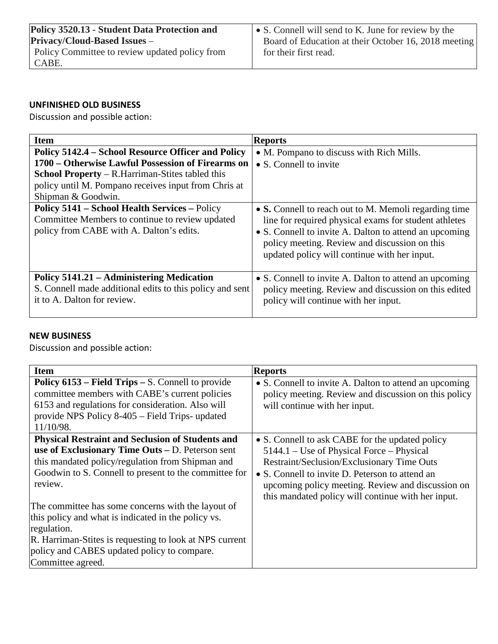# **UNFINISHED OLD BUSINESS**

Discussion and possible action:

| <b>Item</b>                                                                                                                                         | <b>Reports</b>                                                                                                                                                                                                                                                            |
|-----------------------------------------------------------------------------------------------------------------------------------------------------|---------------------------------------------------------------------------------------------------------------------------------------------------------------------------------------------------------------------------------------------------------------------------|
| Policy 5142.4 – School Resource Officer and Policy                                                                                                  | • M. Pompano to discuss with Rich Mills.                                                                                                                                                                                                                                  |
| 1700 – Otherwise Lawful Possession of Firearms on                                                                                                   | • S. Connell to invite                                                                                                                                                                                                                                                    |
| <b>School Property</b> – R.Harriman-Stites tabled this                                                                                              |                                                                                                                                                                                                                                                                           |
| policy until M. Pompano receives input from Chris at                                                                                                |                                                                                                                                                                                                                                                                           |
| Shipman & Goodwin.                                                                                                                                  |                                                                                                                                                                                                                                                                           |
| <b>Policy 5141 – School Health Services – Policy</b><br>Committee Members to continue to review updated<br>policy from CABE with A. Dalton's edits. | • S. Connell to reach out to M. Memoli regarding time<br>line for required physical exams for student athletes<br>• S. Connell to invite A. Dalton to attend an upcoming<br>policy meeting. Review and discussion on this<br>updated policy will continue with her input. |
| Policy 5141.21 – Administering Medication<br>S. Connell made additional edits to this policy and sent<br>it to A. Dalton for review.                | • S. Connell to invite A. Dalton to attend an upcoming<br>policy meeting. Review and discussion on this edited<br>policy will continue with her input.                                                                                                                    |

### **NEW BUSINESS**

Discussion and possible action:

| <b>Item</b>                                                                                                                                                                                                                                                                                                                                                                                                                                                                                    | <b>Reports</b>                                                                                                                                                                                                                                                                                             |
|------------------------------------------------------------------------------------------------------------------------------------------------------------------------------------------------------------------------------------------------------------------------------------------------------------------------------------------------------------------------------------------------------------------------------------------------------------------------------------------------|------------------------------------------------------------------------------------------------------------------------------------------------------------------------------------------------------------------------------------------------------------------------------------------------------------|
| Policy 6153 – Field Trips – S. Connell to provide<br>committee members with CABE's current policies<br>6153 and regulations for consideration. Also will<br>provide NPS Policy 8-405 – Field Trips- updated<br>11/10/98.                                                                                                                                                                                                                                                                       | • S. Connell to invite A. Dalton to attend an upcoming<br>policy meeting. Review and discussion on this policy<br>will continue with her input.                                                                                                                                                            |
| <b>Physical Restraint and Seclusion of Students and</b><br>use of Exclusionary Time Outs - D. Peterson sent<br>this mandated policy/regulation from Shipman and<br>Goodwin to S. Connell to present to the committee for<br>review.<br>The committee has some concerns with the layout of<br>this policy and what is indicated in the policy vs.<br>regulation.<br>R. Harriman-Stites is requesting to look at NPS current<br>policy and CABES updated policy to compare.<br>Committee agreed. | • S. Connell to ask CABE for the updated policy<br>$5144.1$ – Use of Physical Force – Physical<br>Restraint/Seclusion/Exclusionary Time Outs<br>• S. Connell to invite D. Peterson to attend an<br>upcoming policy meeting. Review and discussion on<br>this mandated policy will continue with her input. |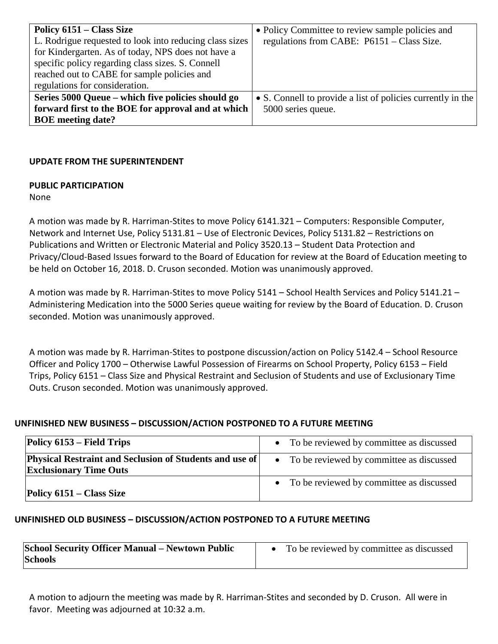| Policy 6151 – Class Size<br>L. Rodrigue requested to look into reducing class sizes<br>for Kindergarten. As of today, NPS does not have a<br>specific policy regarding class sizes. S. Connell<br>reached out to CABE for sample policies and<br>regulations for consideration. | • Policy Committee to review sample policies and<br>regulations from CABE: P6151 – Class Size. |
|---------------------------------------------------------------------------------------------------------------------------------------------------------------------------------------------------------------------------------------------------------------------------------|------------------------------------------------------------------------------------------------|
| Series 5000 Queue – which five policies should go                                                                                                                                                                                                                               | • S. Connell to provide a list of policies currently in the                                    |
| forward first to the BOE for approval and at which                                                                                                                                                                                                                              | 5000 series queue.                                                                             |
| <b>BOE</b> meeting date?                                                                                                                                                                                                                                                        |                                                                                                |

### **UPDATE FROM THE SUPERINTENDENT**

### **PUBLIC PARTICIPATION**

None

A motion was made by R. Harriman-Stites to move Policy 6141.321 – Computers: Responsible Computer, Network and Internet Use, Policy 5131.81 – Use of Electronic Devices, Policy 5131.82 – Restrictions on Publications and Written or Electronic Material and Policy 3520.13 – Student Data Protection and Privacy/Cloud-Based Issues forward to the Board of Education for review at the Board of Education meeting to be held on October 16, 2018. D. Cruson seconded. Motion was unanimously approved.

A motion was made by R. Harriman-Stites to move Policy 5141 – School Health Services and Policy 5141.21 – Administering Medication into the 5000 Series queue waiting for review by the Board of Education. D. Cruson seconded. Motion was unanimously approved.

A motion was made by R. Harriman-Stites to postpone discussion/action on Policy 5142.4 – School Resource Officer and Policy 1700 – Otherwise Lawful Possession of Firearms on School Property, Policy 6153 – Field Trips, Policy 6151 – Class Size and Physical Restraint and Seclusion of Students and use of Exclusionary Time Outs. Cruson seconded. Motion was unanimously approved.

### **UNFINISHED NEW BUSINESS – DISCUSSION/ACTION POSTPONED TO A FUTURE MEETING**

| Policy $6153$ – Field Trips                                                                     | • To be reviewed by committee as discussed |
|-------------------------------------------------------------------------------------------------|--------------------------------------------|
| <b>Physical Restraint and Seclusion of Students and use of</b><br><b>Exclusionary Time Outs</b> | • To be reviewed by committee as discussed |
| Policy 6151 – Class Size                                                                        | • To be reviewed by committee as discussed |

### **UNFINISHED OLD BUSINESS – DISCUSSION/ACTION POSTPONED TO A FUTURE MEETING**

| <b>School Security Officer Manual – Newtown Public</b> | To be reviewed by committee as discussed |
|--------------------------------------------------------|------------------------------------------|
| <b>Schools</b>                                         |                                          |

A motion to adjourn the meeting was made by R. Harriman-Stites and seconded by D. Cruson. All were in favor. Meeting was adjourned at 10:32 a.m.